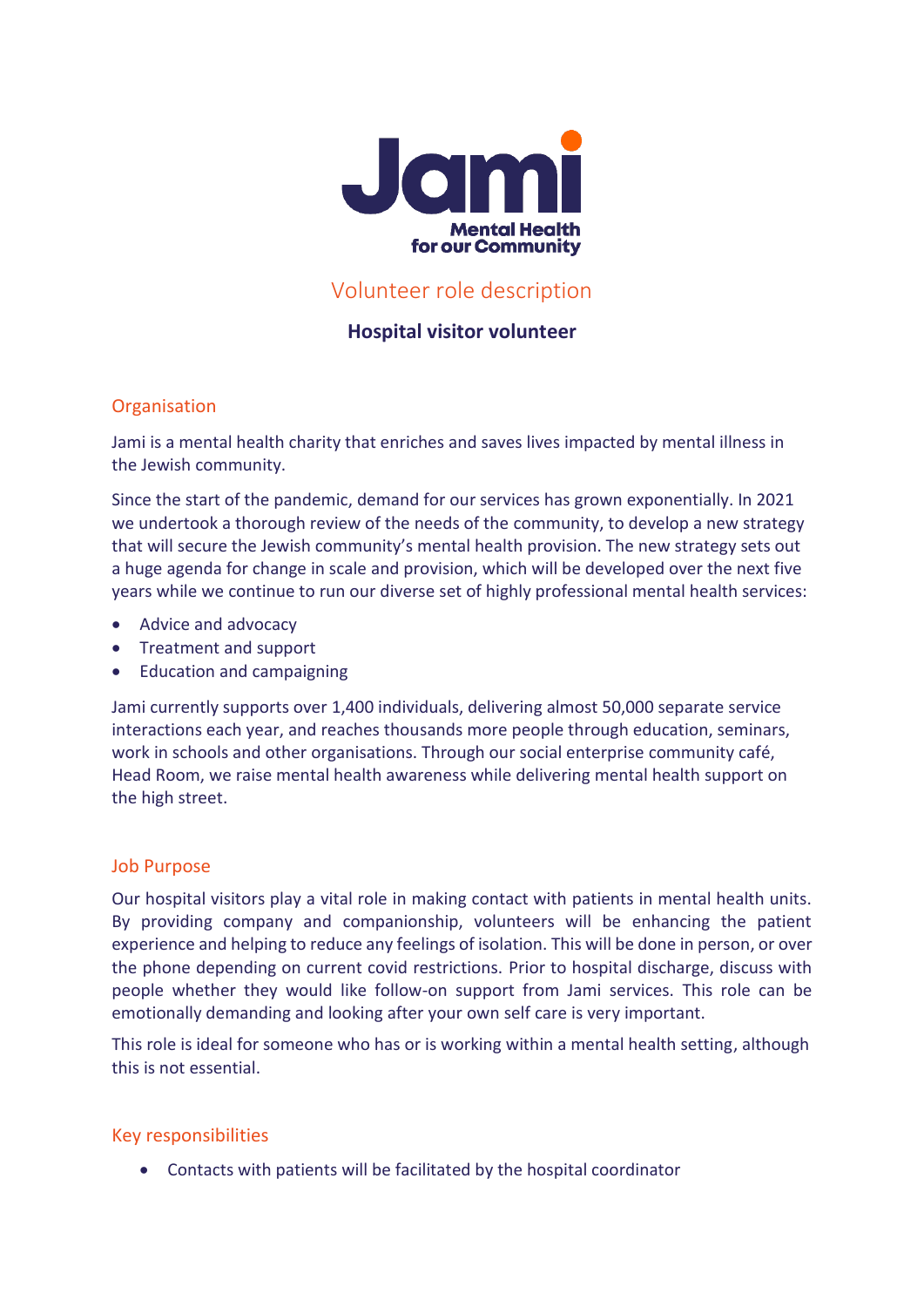

# Volunteer role description

# **Hospital visitor volunteer**

## **Organisation**

Jami is a mental health charity that enriches and saves lives impacted by mental illness in the Jewish community.

Since the start of the pandemic, demand for our services has grown exponentially. In 2021 we undertook a thorough review of the needs of the community, to develop a new strategy that will secure the Jewish community's mental health provision. The new strategy sets out a huge agenda for change in scale and provision, which will be developed over the next five years while we continue to run our diverse set of highly professional mental health services:

- Advice and advocacy
- Treatment and support
- Education and campaigning

Jami currently supports over 1,400 individuals, delivering almost 50,000 separate service interactions each year, and reaches thousands more people through education, seminars, work in schools and other organisations. Through our social enterprise community café, Head Room, we raise mental health awareness while delivering mental health support on the high street.

## Job Purpose

Our hospital visitors play a vital role in making contact with patients in mental health units. By providing company and companionship, volunteers will be enhancing the patient experience and helping to reduce any feelings of isolation. This will be done in person, or over the phone depending on current covid restrictions. Prior to hospital discharge, discuss with people whether they would like follow-on support from Jami services. This role can be emotionally demanding and looking after your own self care is very important.

This role is ideal for someone who has or is working within a mental health setting, although this is not essential.

## Key responsibilities

• Contacts with patients will be facilitated by the hospital coordinator